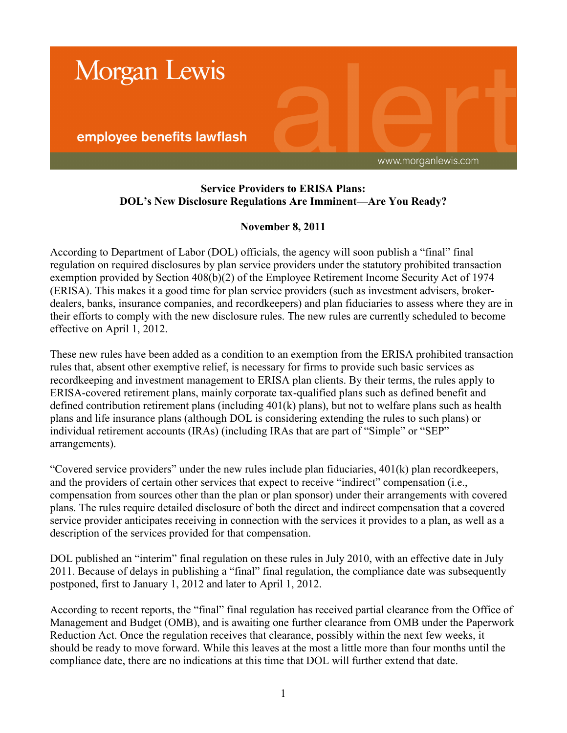

## **Service Providers to ERISA Plans: DOL's New Disclosure Regulations Are Imminent—Are You Ready?**

## **November 8, 2011**

According to Department of Labor (DOL) officials, the agency will soon publish a "final" final regulation on required disclosures by plan service providers under the statutory prohibited transaction exemption provided by Section 408(b)(2) of the Employee Retirement Income Security Act of 1974 (ERISA). This makes it a good time for plan service providers (such as investment advisers, brokerdealers, banks, insurance companies, and recordkeepers) and plan fiduciaries to assess where they are in their efforts to comply with the new disclosure rules. The new rules are currently scheduled to become effective on April 1, 2012.

These new rules have been added as a condition to an exemption from the ERISA prohibited transaction rules that, absent other exemptive relief, is necessary for firms to provide such basic services as recordkeeping and investment management to ERISA plan clients. By their terms, the rules apply to ERISA-covered retirement plans, mainly corporate tax-qualified plans such as defined benefit and defined contribution retirement plans (including 401(k) plans), but not to welfare plans such as health plans and life insurance plans (although DOL is considering extending the rules to such plans) or individual retirement accounts (IRAs) (including IRAs that are part of "Simple" or "SEP" arrangements).

"Covered service providers" under the new rules include plan fiduciaries, 401(k) plan recordkeepers, and the providers of certain other services that expect to receive "indirect" compensation (i.e., compensation from sources other than the plan or plan sponsor) under their arrangements with covered plans. The rules require detailed disclosure of both the direct and indirect compensation that a covered service provider anticipates receiving in connection with the services it provides to a plan, as well as a description of the services provided for that compensation.

DOL published an "interim" final regulation on these rules in July 2010, with an effective date in July 2011. Because of delays in publishing a "final" final regulation, the compliance date was subsequently postponed, first to January 1, 2012 and later to April 1, 2012.

According to recent reports, the "final" final regulation has received partial clearance from the Office of Management and Budget (OMB), and is awaiting one further clearance from OMB under the Paperwork Reduction Act. Once the regulation receives that clearance, possibly within the next few weeks, it should be ready to move forward. While this leaves at the most a little more than four months until the compliance date, there are no indications at this time that DOL will further extend that date.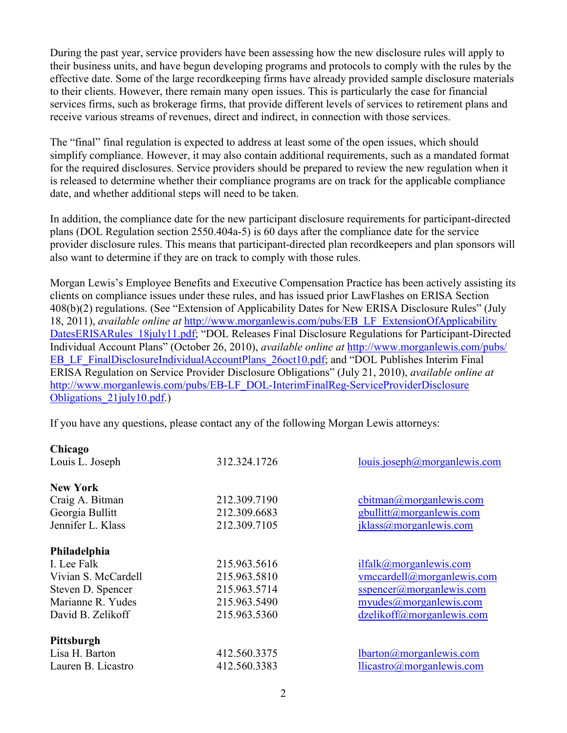During the past year, service providers have been assessing how the new disclosure rules will apply to their business units, and have begun developing programs and protocols to comply with the rules by the effective date. Some of the large recordkeeping firms have already provided sample disclosure materials to their clients. However, there remain many open issues. This is particularly the case for financial services firms, such as brokerage firms, that provide different levels of services to retirement plans and receive various streams of revenues, direct and indirect, in connection with those services.

The "final" final regulation is expected to address at least some of the open issues, which should simplify compliance. However, it may also contain additional requirements, such as a mandated format for the required disclosures. Service providers should be prepared to review the new regulation when it is released to determine whether their compliance programs are on track for the applicable compliance date, and whether additional steps will need to be taken.

In addition, the compliance date for the new participant disclosure requirements for participant-directed plans (DOL Regulation section 2550.404a-5) is 60 days after the compliance date for the service provider disclosure rules. This means that participant-directed plan recordkeepers and plan sponsors will also want to determine if they are on track to comply with those rules.

Morgan Lewis's Employee Benefits and Executive Compensation Practice has been actively assisting its clients on compliance issues under these rules, and has issued prior LawFlashes on ERISA Section 408(b)(2) regulations. (See "Extension of Applicability Dates for New ERISA Disclosure Rules" (July 18, 2011), *available online at* http://www.morganlewis.com/pubs/EB\_LF\_ExtensionOfApplicability [DatesERISARules\\_18july11.pdf; "DOL Releases Final Disclosure Regulations for Participant-Direct](http://www.morganlewis.com/pubs/EB_LF_ExtensionOfApplicabilityDatesERISARules_18july11.pdf)ed Individual Account Plans" (October 26, 2010), *available online at* http://www.morganlewis.com/pubs/ EB\_LF\_FinalDisclosureIndividualAccountPlans\_26oct10.pdf; and "DOL Publishes Interim Final ERISA Regulation on Service Provider Disclosure Obligations" (July 21, 2010), *available online at* [http://www.morganlewis.com/pubs/EB-LF\\_DOL-InterimFinalReg-ServiceProviderDisclosure](http://www.morganlewis.com/pubs/EB-LF_DOL-InterimFinalReg-ServiceProviderDisclosureObligations_21july10.pdf)  Obligations\_21july10.pdf.)

If you have any questions, please contact any of the following Morgan Lewis attorneys:

| louis.joseph@morganlewis.com |
|------------------------------|
|                              |
| cbitman@morganlewis.com      |
| gbullitt@morganlewis.com     |
| jklass@morganlewis.com       |
|                              |
| ilfalk@morganlewis.com       |
| vmccardell@morganlewis.com   |
| $s$ spencer@morganlewis.com  |
| myudes@morganlewis.com       |
| dzelikoff@morganlewis.com    |
|                              |
| $lbarton@morganlewis.com$    |
| llicastro@morganlewis.com    |
|                              |